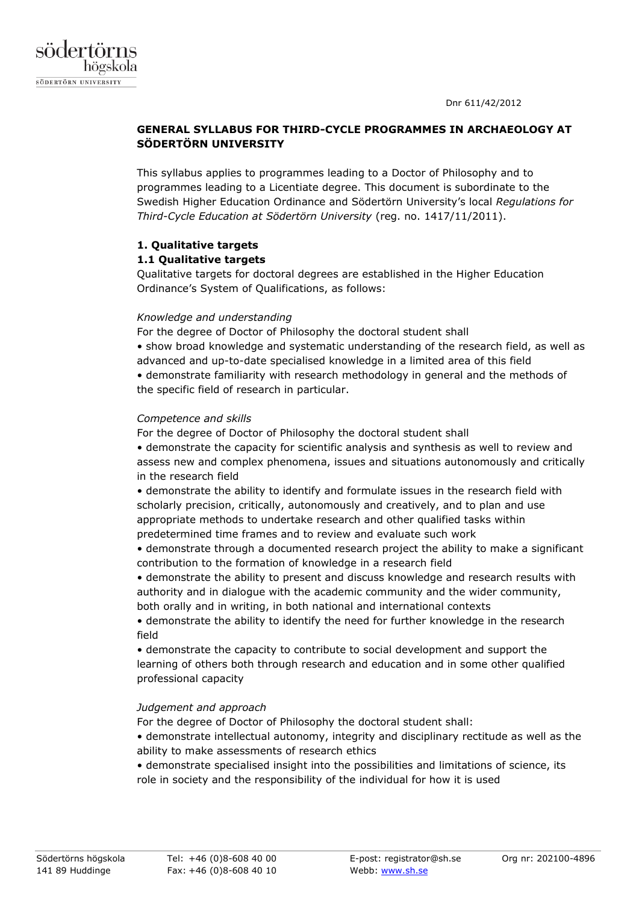

# **GENERAL SYLLABUS FOR THIRD-CYCLE PROGRAMMES IN ARCHAEOLOGY AT SÖDERTÖRN UNIVERSITY**

This syllabus applies to programmes leading to a Doctor of Philosophy and to programmes leading to a Licentiate degree. This document is subordinate to the Swedish Higher Education Ordinance and Södertörn University's local *Regulations for Third-Cycle Education at Södertörn University* (reg. no. 1417/11/2011).

# **1. Qualitative targets**

# **1.1 Qualitative targets**

Qualitative targets for doctoral degrees are established in the Higher Education Ordinance's System of Qualifications, as follows:

# *Knowledge and understanding*

For the degree of Doctor of Philosophy the doctoral student shall • show broad knowledge and systematic understanding of the research field, as well as advanced and up-to-date specialised knowledge in a limited area of this field • demonstrate familiarity with research methodology in general and the methods of the specific field of research in particular.

# *Competence and skills*

For the degree of Doctor of Philosophy the doctoral student shall

• demonstrate the capacity for scientific analysis and synthesis as well to review and assess new and complex phenomena, issues and situations autonomously and critically in the research field

• demonstrate the ability to identify and formulate issues in the research field with scholarly precision, critically, autonomously and creatively, and to plan and use appropriate methods to undertake research and other qualified tasks within predetermined time frames and to review and evaluate such work

• demonstrate through a documented research project the ability to make a significant contribution to the formation of knowledge in a research field

• demonstrate the ability to present and discuss knowledge and research results with authority and in dialogue with the academic community and the wider community, both orally and in writing, in both national and international contexts

• demonstrate the ability to identify the need for further knowledge in the research field

• demonstrate the capacity to contribute to social development and support the learning of others both through research and education and in some other qualified professional capacity

# *Judgement and approach*

For the degree of Doctor of Philosophy the doctoral student shall:

• demonstrate intellectual autonomy, integrity and disciplinary rectitude as well as the ability to make assessments of research ethics

• demonstrate specialised insight into the possibilities and limitations of science, its role in society and the responsibility of the individual for how it is used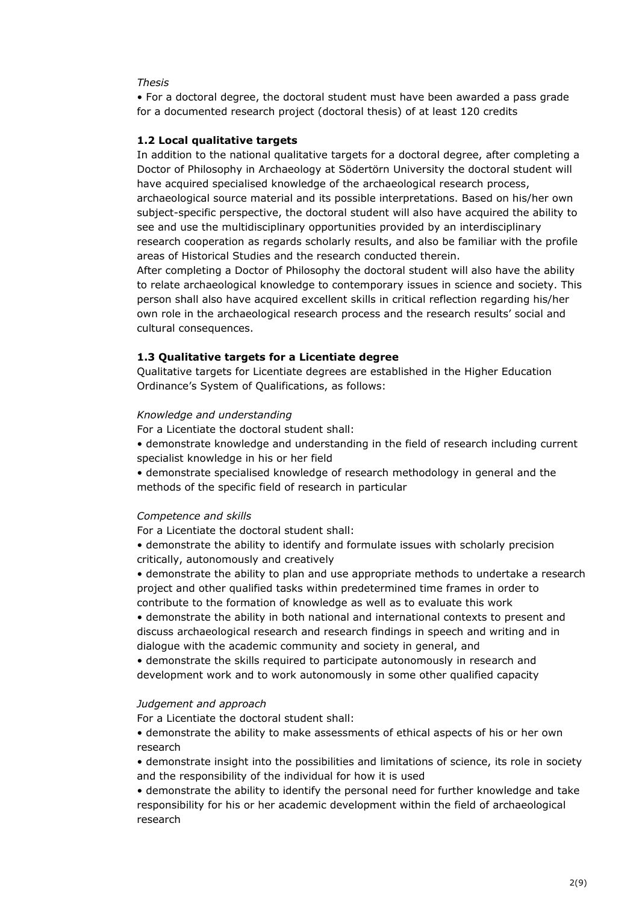## *Thesis*

• For a doctoral degree, the doctoral student must have been awarded a pass grade for a documented research project (doctoral thesis) of at least 120 credits

### **1.2 Local qualitative targets**

In addition to the national qualitative targets for a doctoral degree, after completing a Doctor of Philosophy in Archaeology at Södertörn University the doctoral student will have acquired specialised knowledge of the archaeological research process, archaeological source material and its possible interpretations. Based on his/her own subject-specific perspective, the doctoral student will also have acquired the ability to see and use the multidisciplinary opportunities provided by an interdisciplinary research cooperation as regards scholarly results, and also be familiar with the profile areas of Historical Studies and the research conducted therein.

After completing a Doctor of Philosophy the doctoral student will also have the ability to relate archaeological knowledge to contemporary issues in science and society. This person shall also have acquired excellent skills in critical reflection regarding his/her own role in the archaeological research process and the research results' social and cultural consequences.

#### **1.3 Qualitative targets for a Licentiate degree**

Qualitative targets for Licentiate degrees are established in the Higher Education Ordinance's System of Qualifications, as follows:

#### *Knowledge and understanding*

For a Licentiate the doctoral student shall:

• demonstrate knowledge and understanding in the field of research including current specialist knowledge in his or her field

• demonstrate specialised knowledge of research methodology in general and the methods of the specific field of research in particular

### *Competence and skills*

For a Licentiate the doctoral student shall:

• demonstrate the ability to identify and formulate issues with scholarly precision critically, autonomously and creatively

• demonstrate the ability to plan and use appropriate methods to undertake a research project and other qualified tasks within predetermined time frames in order to contribute to the formation of knowledge as well as to evaluate this work

• demonstrate the ability in both national and international contexts to present and discuss archaeological research and research findings in speech and writing and in dialogue with the academic community and society in general, and

• demonstrate the skills required to participate autonomously in research and development work and to work autonomously in some other qualified capacity

#### *Judgement and approach*

For a Licentiate the doctoral student shall:

• demonstrate the ability to make assessments of ethical aspects of his or her own research

• demonstrate insight into the possibilities and limitations of science, its role in society and the responsibility of the individual for how it is used

• demonstrate the ability to identify the personal need for further knowledge and take responsibility for his or her academic development within the field of archaeological research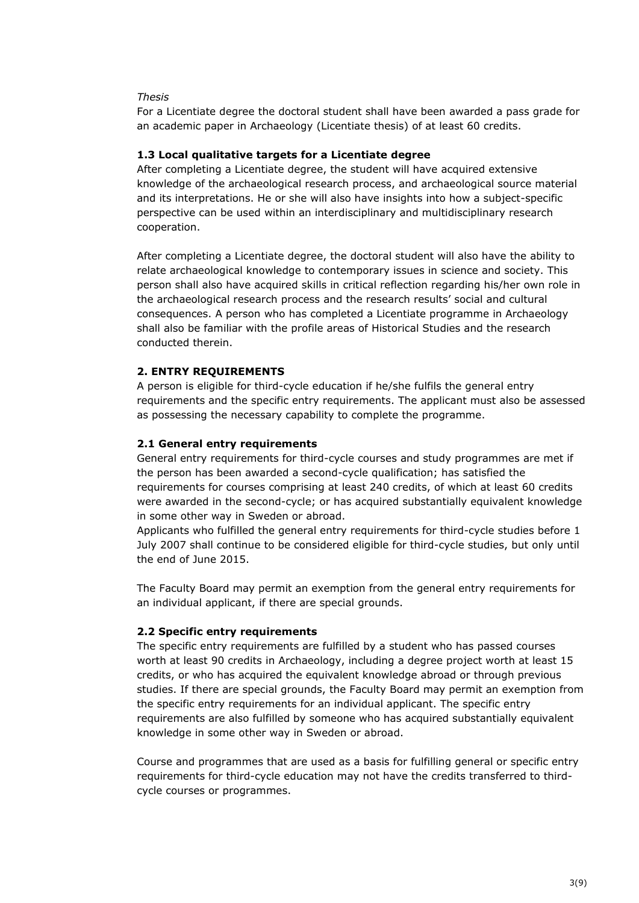## *Thesis*

For a Licentiate degree the doctoral student shall have been awarded a pass grade for an academic paper in Archaeology (Licentiate thesis) of at least 60 credits.

## **1.3 Local qualitative targets for a Licentiate degree**

After completing a Licentiate degree, the student will have acquired extensive knowledge of the archaeological research process, and archaeological source material and its interpretations. He or she will also have insights into how a subject-specific perspective can be used within an interdisciplinary and multidisciplinary research cooperation.

After completing a Licentiate degree, the doctoral student will also have the ability to relate archaeological knowledge to contemporary issues in science and society. This person shall also have acquired skills in critical reflection regarding his/her own role in the archaeological research process and the research results' social and cultural consequences. A person who has completed a Licentiate programme in Archaeology shall also be familiar with the profile areas of Historical Studies and the research conducted therein.

## **2. ENTRY REQUIREMENTS**

A person is eligible for third-cycle education if he/she fulfils the general entry requirements and the specific entry requirements. The applicant must also be assessed as possessing the necessary capability to complete the programme.

### **2.1 General entry requirements**

General entry requirements for third-cycle courses and study programmes are met if the person has been awarded a second-cycle qualification; has satisfied the requirements for courses comprising at least 240 credits, of which at least 60 credits were awarded in the second-cycle; or has acquired substantially equivalent knowledge in some other way in Sweden or abroad.

Applicants who fulfilled the general entry requirements for third-cycle studies before 1 July 2007 shall continue to be considered eligible for third-cycle studies, but only until the end of June 2015.

The Faculty Board may permit an exemption from the general entry requirements for an individual applicant, if there are special grounds.

#### **2.2 Specific entry requirements**

The specific entry requirements are fulfilled by a student who has passed courses worth at least 90 credits in Archaeology, including a degree project worth at least 15 credits, or who has acquired the equivalent knowledge abroad or through previous studies. If there are special grounds, the Faculty Board may permit an exemption from the specific entry requirements for an individual applicant. The specific entry requirements are also fulfilled by someone who has acquired substantially equivalent knowledge in some other way in Sweden or abroad.

Course and programmes that are used as a basis for fulfilling general or specific entry requirements for third-cycle education may not have the credits transferred to thirdcycle courses or programmes.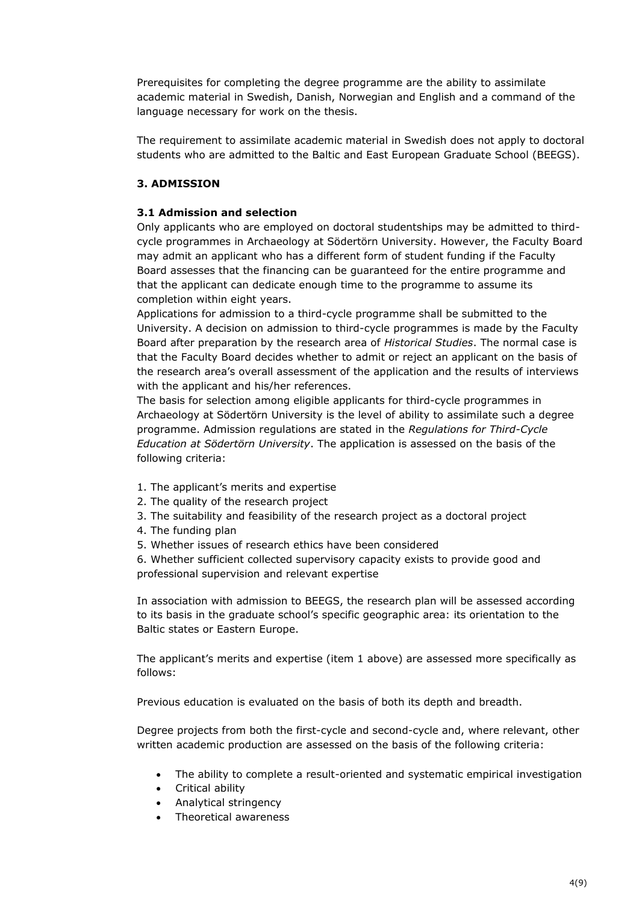Prerequisites for completing the degree programme are the ability to assimilate academic material in Swedish, Danish, Norwegian and English and a command of the language necessary for work on the thesis.

The requirement to assimilate academic material in Swedish does not apply to doctoral students who are admitted to the Baltic and East European Graduate School (BEEGS).

# **3. ADMISSION**

# **3.1 Admission and selection**

Only applicants who are employed on doctoral studentships may be admitted to thirdcycle programmes in Archaeology at Södertörn University. However, the Faculty Board may admit an applicant who has a different form of student funding if the Faculty Board assesses that the financing can be guaranteed for the entire programme and that the applicant can dedicate enough time to the programme to assume its completion within eight years.

Applications for admission to a third-cycle programme shall be submitted to the University. A decision on admission to third-cycle programmes is made by the Faculty Board after preparation by the research area of *Historical Studies*. The normal case is that the Faculty Board decides whether to admit or reject an applicant on the basis of the research area's overall assessment of the application and the results of interviews with the applicant and his/her references.

The basis for selection among eligible applicants for third-cycle programmes in Archaeology at Södertörn University is the level of ability to assimilate such a degree programme. Admission regulations are stated in the *Regulations for Third-Cycle Education at Södertörn University*. The application is assessed on the basis of the following criteria:

- 1. The applicant's merits and expertise
- 2. The quality of the research project
- 3. The suitability and feasibility of the research project as a doctoral project
- 4. The funding plan
- 5. Whether issues of research ethics have been considered

6. Whether sufficient collected supervisory capacity exists to provide good and professional supervision and relevant expertise

In association with admission to BEEGS, the research plan will be assessed according to its basis in the graduate school's specific geographic area: its orientation to the Baltic states or Eastern Europe.

The applicant's merits and expertise (item 1 above) are assessed more specifically as follows:

Previous education is evaluated on the basis of both its depth and breadth.

Degree projects from both the first-cycle and second-cycle and, where relevant, other written academic production are assessed on the basis of the following criteria:

- The ability to complete a result-oriented and systematic empirical investigation
- Critical ability
- Analytical stringency
- Theoretical awareness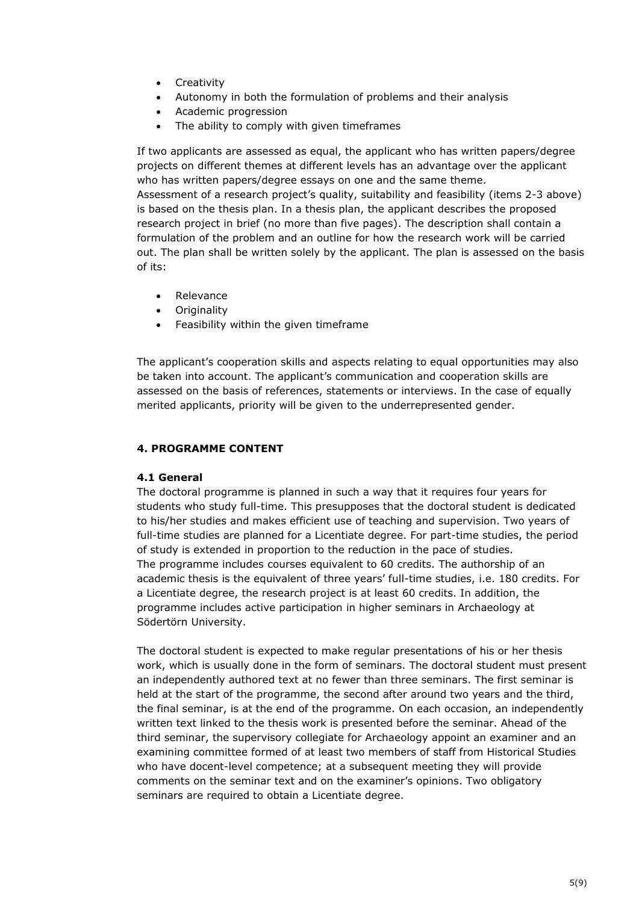- Creativity
- Autonomy in both the formulation of problems and their analysis
- Academic progression
- The ability to comply with given timeframes

If two applicants are assessed as equal, the applicant who has written papers/degree projects on different themes at different levels has an advantage over the applicant who has written papers/degree essays on one and the same theme. Assessment of a research project's quality, suitability and feasibility (items 2-3 above) is based on the thesis plan. In a thesis plan, the applicant describes the proposed research project in brief (no more than five pages). The description shall contain a formulation of the problem and an outline for how the research work will be carried out. The plan shall be written solely by the applicant. The plan is assessed on the basis of its:

- Relevance
- **Originality**
- Feasibility within the given timeframe

The applicant's cooperation skills and aspects relating to equal opportunities may also be taken into account. The applicant's communication and cooperation skills are assessed on the basis of references, statements or interviews. In the case of equally merited applicants, priority will be given to the underrepresented gender.

# **4. PROGRAMME CONTENT**

## **4.1 General**

The doctoral programme is planned in such a way that it requires four years for students who study full-time. This presupposes that the doctoral student is dedicated to his/her studies and makes efficient use of teaching and supervision. Two years of full-time studies are planned for a Licentiate degree. For part-time studies, the period of study is extended in proportion to the reduction in the pace of studies. The programme includes courses equivalent to 60 credits. The authorship of an academic thesis is the equivalent of three years' full-time studies, i.e. 180 credits. For a Licentiate degree, the research project is at least 60 credits. In addition, the programme includes active participation in higher seminars in Archaeology at Södertörn University.

The doctoral student is expected to make regular presentations of his or her thesis work, which is usually done in the form of seminars. The doctoral student must present an independently authored text at no fewer than three seminars. The first seminar is held at the start of the programme, the second after around two years and the third, the final seminar, is at the end of the programme. On each occasion, an independently written text linked to the thesis work is presented before the seminar. Ahead of the third seminar, the supervisory collegiate for Archaeology appoint an examiner and an examining committee formed of at least two members of staff from Historical Studies who have docent-level competence; at a subsequent meeting they will provide comments on the seminar text and on the examiner's opinions. Two obligatory seminars are required to obtain a Licentiate degree.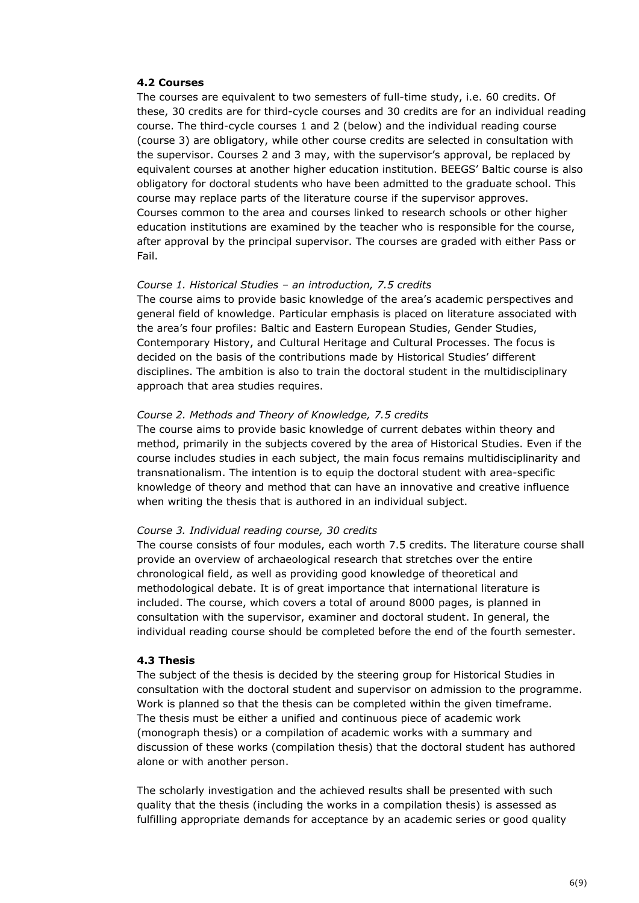## **4.2 Courses**

The courses are equivalent to two semesters of full-time study, i.e. 60 credits. Of these, 30 credits are for third-cycle courses and 30 credits are for an individual reading course. The third-cycle courses 1 and 2 (below) and the individual reading course (course 3) are obligatory, while other course credits are selected in consultation with the supervisor. Courses 2 and 3 may, with the supervisor's approval, be replaced by equivalent courses at another higher education institution. BEEGS' Baltic course is also obligatory for doctoral students who have been admitted to the graduate school. This course may replace parts of the literature course if the supervisor approves. Courses common to the area and courses linked to research schools or other higher education institutions are examined by the teacher who is responsible for the course, after approval by the principal supervisor. The courses are graded with either Pass or Fail.

#### *Course 1. Historical Studies – an introduction, 7.5 credits*

The course aims to provide basic knowledge of the area's academic perspectives and general field of knowledge. Particular emphasis is placed on literature associated with the area's four profiles: Baltic and Eastern European Studies, Gender Studies, Contemporary History, and Cultural Heritage and Cultural Processes. The focus is decided on the basis of the contributions made by Historical Studies' different disciplines. The ambition is also to train the doctoral student in the multidisciplinary approach that area studies requires.

#### *Course 2. Methods and Theory of Knowledge, 7.5 credits*

The course aims to provide basic knowledge of current debates within theory and method, primarily in the subjects covered by the area of Historical Studies. Even if the course includes studies in each subject, the main focus remains multidisciplinarity and transnationalism. The intention is to equip the doctoral student with area-specific knowledge of theory and method that can have an innovative and creative influence when writing the thesis that is authored in an individual subject.

#### *Course 3. Individual reading course, 30 credits*

The course consists of four modules, each worth 7.5 credits. The literature course shall provide an overview of archaeological research that stretches over the entire chronological field, as well as providing good knowledge of theoretical and methodological debate. It is of great importance that international literature is included. The course, which covers a total of around 8000 pages, is planned in consultation with the supervisor, examiner and doctoral student. In general, the individual reading course should be completed before the end of the fourth semester.

#### **4.3 Thesis**

The subject of the thesis is decided by the steering group for Historical Studies in consultation with the doctoral student and supervisor on admission to the programme. Work is planned so that the thesis can be completed within the given timeframe. The thesis must be either a unified and continuous piece of academic work (monograph thesis) or a compilation of academic works with a summary and discussion of these works (compilation thesis) that the doctoral student has authored alone or with another person.

The scholarly investigation and the achieved results shall be presented with such quality that the thesis (including the works in a compilation thesis) is assessed as fulfilling appropriate demands for acceptance by an academic series or good quality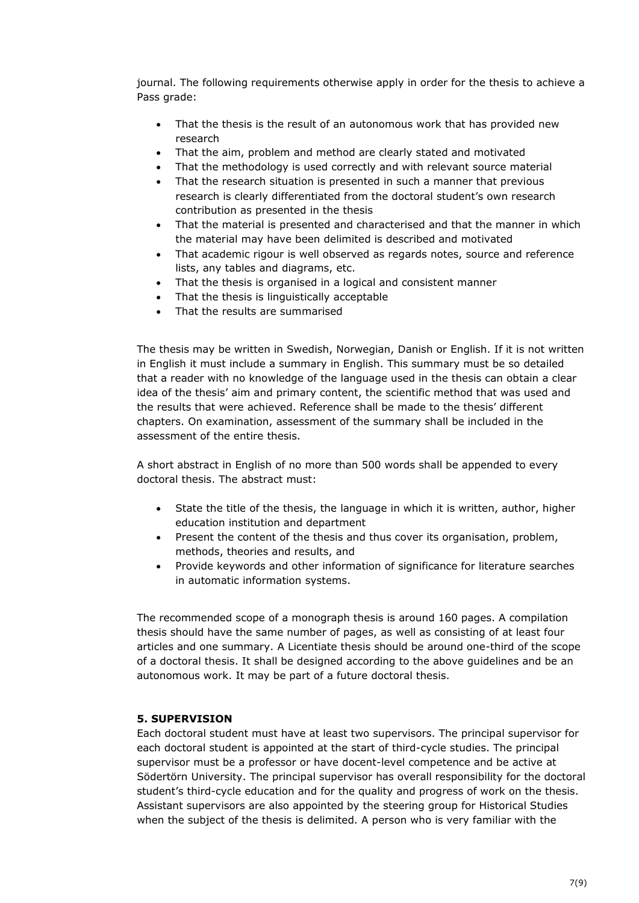journal. The following requirements otherwise apply in order for the thesis to achieve a Pass grade:

- That the thesis is the result of an autonomous work that has provided new research
- That the aim, problem and method are clearly stated and motivated
- That the methodology is used correctly and with relevant source material
- That the research situation is presented in such a manner that previous research is clearly differentiated from the doctoral student's own research contribution as presented in the thesis
- That the material is presented and characterised and that the manner in which the material may have been delimited is described and motivated
- That academic rigour is well observed as regards notes, source and reference lists, any tables and diagrams, etc.
- That the thesis is organised in a logical and consistent manner
- That the thesis is linguistically acceptable
- That the results are summarised

The thesis may be written in Swedish, Norwegian, Danish or English. If it is not written in English it must include a summary in English. This summary must be so detailed that a reader with no knowledge of the language used in the thesis can obtain a clear idea of the thesis' aim and primary content, the scientific method that was used and the results that were achieved. Reference shall be made to the thesis' different chapters. On examination, assessment of the summary shall be included in the assessment of the entire thesis.

A short abstract in English of no more than 500 words shall be appended to every doctoral thesis. The abstract must:

- State the title of the thesis, the language in which it is written, author, higher education institution and department
- Present the content of the thesis and thus cover its organisation, problem, methods, theories and results, and
- Provide keywords and other information of significance for literature searches in automatic information systems.

The recommended scope of a monograph thesis is around 160 pages. A compilation thesis should have the same number of pages, as well as consisting of at least four articles and one summary. A Licentiate thesis should be around one-third of the scope of a doctoral thesis. It shall be designed according to the above guidelines and be an autonomous work. It may be part of a future doctoral thesis.

## **5. SUPERVISION**

Each doctoral student must have at least two supervisors. The principal supervisor for each doctoral student is appointed at the start of third-cycle studies. The principal supervisor must be a professor or have docent-level competence and be active at Södertörn University. The principal supervisor has overall responsibility for the doctoral student's third-cycle education and for the quality and progress of work on the thesis. Assistant supervisors are also appointed by the steering group for Historical Studies when the subject of the thesis is delimited. A person who is very familiar with the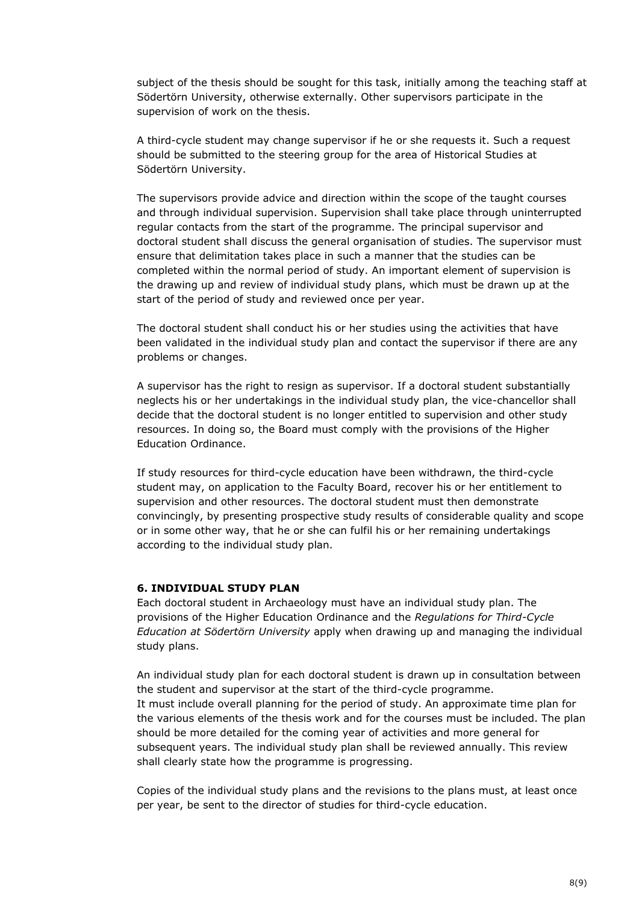subject of the thesis should be sought for this task, initially among the teaching staff at Södertörn University, otherwise externally. Other supervisors participate in the supervision of work on the thesis.

A third-cycle student may change supervisor if he or she requests it. Such a request should be submitted to the steering group for the area of Historical Studies at Södertörn University.

The supervisors provide advice and direction within the scope of the taught courses and through individual supervision. Supervision shall take place through uninterrupted regular contacts from the start of the programme. The principal supervisor and doctoral student shall discuss the general organisation of studies. The supervisor must ensure that delimitation takes place in such a manner that the studies can be completed within the normal period of study. An important element of supervision is the drawing up and review of individual study plans, which must be drawn up at the start of the period of study and reviewed once per year.

The doctoral student shall conduct his or her studies using the activities that have been validated in the individual study plan and contact the supervisor if there are any problems or changes.

A supervisor has the right to resign as supervisor. If a doctoral student substantially neglects his or her undertakings in the individual study plan, the vice-chancellor shall decide that the doctoral student is no longer entitled to supervision and other study resources. In doing so, the Board must comply with the provisions of the Higher Education Ordinance.

If study resources for third-cycle education have been withdrawn, the third-cycle student may, on application to the Faculty Board, recover his or her entitlement to supervision and other resources. The doctoral student must then demonstrate convincingly, by presenting prospective study results of considerable quality and scope or in some other way, that he or she can fulfil his or her remaining undertakings according to the individual study plan.

#### **6. INDIVIDUAL STUDY PLAN**

Each doctoral student in Archaeology must have an individual study plan. The provisions of the Higher Education Ordinance and the *Regulations for Third-Cycle Education at Södertörn University* apply when drawing up and managing the individual study plans.

An individual study plan for each doctoral student is drawn up in consultation between the student and supervisor at the start of the third-cycle programme. It must include overall planning for the period of study. An approximate time plan for the various elements of the thesis work and for the courses must be included. The plan should be more detailed for the coming year of activities and more general for subsequent years. The individual study plan shall be reviewed annually. This review shall clearly state how the programme is progressing.

Copies of the individual study plans and the revisions to the plans must, at least once per year, be sent to the director of studies for third-cycle education.